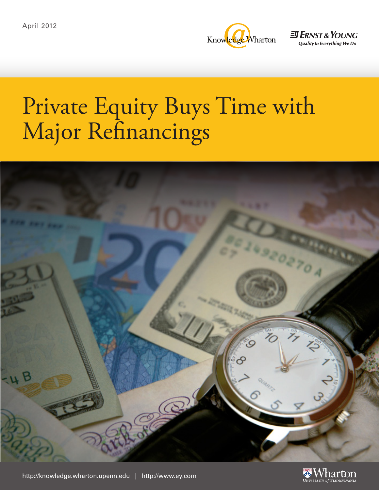

**EN ERNST & YOUNG Quality In Everything We Do** 

# Private Equity Buys Time with Major Refinancings



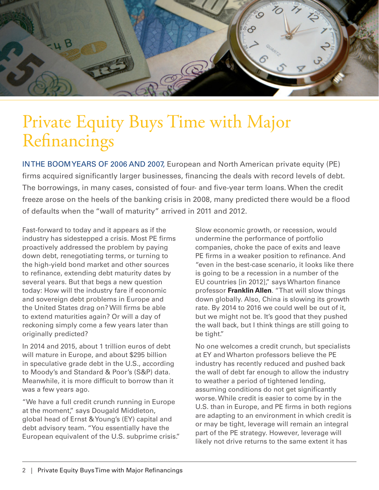

# Private Equity Buys Time with Major Refinancings

IN THE BOOM YEARS OF 2006 AND 2007, European and North American private equity (PE) firms acquired significantly larger businesses, financing the deals with record levels of debt. The borrowings, in many cases, consisted of four- and five-year term loans. When the credit freeze arose on the heels of the banking crisis in 2008, many predicted there would be a flood of defaults when the "wall of maturity" arrived in 2011 and 2012.

Fast-forward to today and it appears as if the industry has sidestepped a crisis. Most PE firms proactively addressed the problem by paying down debt, renegotiating terms, or turning to the high-yield bond market and other sources to refinance, extending debt maturity dates by several years. But that begs a new question today: How will the industry fare if economic and sovereign debt problems in Europe and the United States drag on? Will firms be able to extend maturities again? Or will a day of reckoning simply come a few years later than originally predicted?

In 2014 and 2015, about 1 trillion euros of debt will mature in Europe, and about \$295 billion in speculative grade debt in the U.S., according to Moody's and Standard & Poor's (S&P) data. Meanwhile, it is more difficult to borrow than it was a few years ago.

"We have a full credit crunch running in Europe at the moment," says Dougald Middleton, global head of Ernst & Young's (EY) capital and debt advisory team. "You essentially have the European equivalent of the U.S. subprime crisis." Slow economic growth, or recession, would undermine the performance of portfolio companies, choke the pace of exits and leave PE firms in a weaker position to refinance. And "even in the best-case scenario, it looks like there is going to be a recession in a number of the EU countries [in 2012]," says Wharton finance professor **[Franklin Allen](http://fnce.wharton.upenn.edu/people/faculty.cfm?id=903)**. "That will slow things down globally. Also, China is slowing its growth rate. By 2014 to 2016 we could well be out of it, but we might not be. It's good that they pushed the wall back, but I think things are still going to be tight."

No one welcomes a credit crunch, but specialists at EY and Wharton professors believe the PE industry has recently reduced and pushed back the wall of debt far enough to allow the industry to weather a period of tightened lending, assuming conditions do not get significantly worse. While credit is easier to come by in the U.S. than in Europe, and PE firms in both regions are adapting to an environment in which credit is or may be tight, leverage will remain an integral part of the PE strategy. However, leverage will likely not drive returns to the same extent it has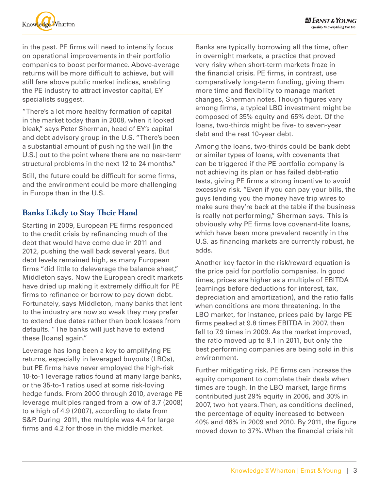

in the past. PE firms will need to intensify focus on operational improvements in their portfolio companies to boost performance. Above-average returns will be more difficult to achieve, but will still fare above public market indices, enabling the PE industry to attract investor capital, EY specialists suggest.

"There's a lot more healthy formation of capital in the market today than in 2008, when it looked bleak," says Peter Sherman, head of EY's capital and debt advisory group in the U.S. "There's been a substantial amount of pushing the wall [in the U.S.] out to the point where there are no near-term structural problems in the next 12 to 24 months."

Still, the future could be difficult for some firms, and the environment could be more challenging in Europe than in the U.S.

### **Banks Likely to Stay Their Hand**

Starting in 2009, European PE firms responded to the credit crisis by refinancing much of the debt that would have come due in 2011 and 2012, pushing the wall back several years. But debt levels remained high, as many European firms "did little to deleverage the balance sheet," Middleton says. Now the European credit markets have dried up making it extremely difficult for PE firms to refinance or borrow to pay down debt. Fortunately, says Middleton, many banks that lent to the industry are now so weak they may prefer to extend due dates rather than book losses from defaults. "The banks will just have to extend these [loans] again."

Leverage has long been a key to amplifying PE returns, especially in leveraged buyouts (LBOs), but PE firms have never employed the high-risk 10-to-1 leverage ratios found at many large banks, or the 35-to-1 ratios used at some risk-loving hedge funds. From 2000 through 2010, average PE leverage multiples ranged from a low of 3.7 (2008) to a high of 4.9 (2007), according to data from S&P. During 2011, the multiple was 4.4 for large firms and 4.2 for those in the middle market.

Banks are typically borrowing all the time, often in overnight markets, a practice that proved very risky when short-term markets froze in the financial crisis. PE firms, in contrast, use comparatively long-term funding, giving them more time and flexibility to manage market changes, Sherman notes. Though figures vary among firms, a typical LBO investment might be composed of 35% equity and 65% debt. Of the loans, two-thirds might be five- to seven-year debt and the rest 10-year debt.

Among the loans, two-thirds could be bank debt or similar types of loans, with covenants that can be triggered if the PE portfolio company is not achieving its plan or has failed debt-ratio tests, giving PE firms a strong incentive to avoid excessive risk. "Even if you can pay your bills, the guys lending you the money have trip wires to make sure they're back at the table if the business is really not performing," Sherman says. This is obviously why PE firms love covenant-lite loans, which have been more prevalent recently in the U.S. as financing markets are currently robust, he adds.

Another key factor in the risk/reward equation is the price paid for portfolio companies. In good times, prices are higher as a multiple of EBITDA [\(earnings](http://en.wikipedia.org/wiki/Income) before deductions for [interest,](http://en.wikipedia.org/wiki/Interest) [tax,](http://en.wikipedia.org/wiki/Tax) depreciation and [amortization](http://en.wikipedia.org/wiki/Amortization_%28business%29)), and the ratio falls when conditions are more threatening. In the LBO market, for instance, prices paid by large PE firms peaked at 9.8 times EBITDA in 2007, then fell to 7.9 times in 2009. As the market improved, the ratio moved up to 9.1 in 2011, but only the best performing companies are being sold in this environment.

Further mitigating risk, PE firms can increase the equity component to complete their deals when times are tough. In the LBO market, large firms contributed just 29% equity in 2006, and 30% in 2007, two hot years. Then, as conditions declined, the percentage of equity increased to between 40% and 46% in 2009 and 2010. By 2011, the figure moved down to 37%. When the financial crisis hit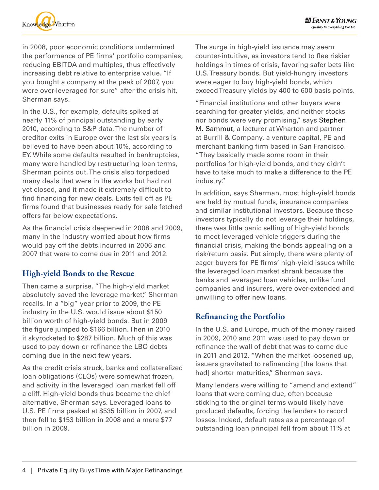

in 2008, poor economic conditions undermined the performance of PE firms' portfolio companies, reducing EBITDA and multiples, thus effectively increasing debt relative to enterprise value. "If you bought a company at the peak of 2007, you were over-leveraged for sure" after the crisis hit, Sherman says.

In the U.S., for example, defaults spiked at nearly 11% of principal outstanding by early 2010, according to S&P data. The number of creditor exits in Europe over the last six years is believed to have been about 10%, according to EY. While some defaults resulted in bankruptcies, many were handled by restructuring loan terms, Sherman points out. The crisis also torpedoed many deals that were in the works but had not yet closed, and it made it extremely difficult to find financing for new deals. Exits fell off as PE firms found that businesses ready for sale fetched offers far below expectations.

As the financial crisis deepened in 2008 and 2009, many in the industry worried about how firms would pay off the debts incurred in 2006 and 2007 that were to come due in 2011 and 2012.

# **High-yield Bonds to the Rescue**

Then came a surprise. "The high-yield market absolutely saved the leverage market," Sherman recalls. In a "big" year prior to 2009, the PE industry in the U.S. would issue about \$150 billion worth of high-yield bonds. But in 2009 the figure jumped to \$166 billion. Then in 2010 it skyrocketed to \$287 billion. Much of this was used to pay down or refinance the LBO debts coming due in the next few years.

As the credit crisis struck, banks and collateralized loan obligations (CLOs) were somewhat frozen, and activity in the leveraged loan market fell off a cliff. High-yield bonds thus became the chief alternative, Sherman says. Leveraged loans to U.S. PE firms peaked at \$535 billion in 2007, and then fell to \$153 billion in 2008 and a mere \$77 billion in 2009.

The surge in high-yield issuance may seem counter-intuitive, as investors tend to flee riskier holdings in times of crisis, favoring safer bets like U.S. Treasury bonds. But yield-hungry investors were eager to buy high-yield bonds, which exceed Treasury yields by 400 to 600 basis points.

"Financial institutions and other buyers were searching for greater yields, and neither stocks nor bonds were very promising," says [Stephen](http://wep.wharton.upenn.edu/teaching/faculty/sammut.html)  [M. Sammut,](http://wep.wharton.upenn.edu/teaching/faculty/sammut.html) a lecturer at Wharton and partner at Burrill & Company, a venture capital, PE and merchant banking firm based in San Francisco. "They basically made some room in their portfolios for high-yield bonds, and they didn't have to take much to make a difference to the PE industry."

In addition, says Sherman, most high-yield bonds are held by mutual funds, insurance companies and similar institutional investors. Because those investors typically do not leverage their holdings, there was little panic selling of high-yield bonds to meet leveraged vehicle triggers during the financial crisis, making the bonds appealing on a risk/return basis. Put simply, there were plenty of eager buyers for PE firms' high-yield issues while the leveraged loan market shrank because the banks and leveraged loan vehicles, unlike fund companies and insurers, were over-extended and unwilling to offer new loans.

# **Refinancing the Portfolio**

In the U.S. and Europe, much of the money raised in 2009, 2010 and 2011 was used to pay down or refinance the wall of debt that was to come due in 2011 and 2012. "When the market loosened up, issuers gravitated to refinancing [the loans that had] shorter maturities," Sherman says.

Many lenders were willing to "amend and extend" loans that were coming due, often because sticking to the original terms would likely have produced defaults, forcing the lenders to record losses. Indeed, default rates as a percentage of outstanding loan principal fell from about 11% at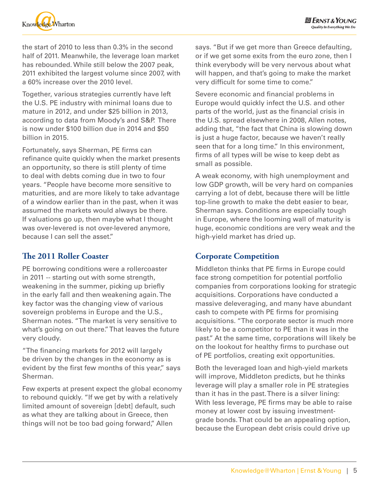

the start of 2010 to less than 0.3% in the second half of 2011. Meanwhile, the leverage loan market has rebounded. While still below the 2007 peak, 2011 exhibited the largest volume since 2007, with a 60% increase over the 2010 level.

Together, various strategies currently have left the U.S. PE industry with minimal loans due to mature in 2012, and under \$25 billion in 2013, according to data from Moody's and S&P. There is now under \$100 billion due in 2014 and \$50 billion in 2015.

Fortunately, says Sherman, PE firms can refinance quite quickly when the market presents an opportunity, so there is still plenty of time to deal with debts coming due in two to four years. "People have become more sensitive to maturities, and are more likely to take advantage of a window earlier than in the past, when it was assumed the markets would always be there. If valuations go up, then maybe what I thought was over-levered is not over-levered anymore, because I can sell the asset."

# **The 2011 Roller Coaster**

PE borrowing conditions were a rollercoaster in 2011 -- starting out with some strength, weakening in the summer, picking up briefly in the early fall and then weakening again. The key factor was the changing view of various sovereign problems in Europe and the U.S., Sherman notes. "The market is very sensitive to what's going on out there." That leaves the future very cloudy.

"The financing markets for 2012 will largely be driven by the changes in the economy as is evident by the first few months of this year," says Sherman.

Few experts at present expect the global economy to rebound quickly. "If we get by with a relatively limited amount of sovereign [debt] default, such as what they are talking about in Greece, then things will not be too bad going forward," Allen

says. "But if we get more than Greece defaulting, or if we get some exits from the euro zone, then I think everybody will be very nervous about what will happen, and that's going to make the market very difficult for some time to come."

Severe economic and financial problems in Europe would quickly infect the U.S. and other parts of the world, just as the financial crisis in the U.S. spread elsewhere in 2008, Allen notes, adding that, "the fact that China is slowing down is just a huge factor, because we haven't really seen that for a long time." In this environment, firms of all types will be wise to keep debt as small as possible.

A weak economy, with high unemployment and low GDP growth, will be very hard on companies carrying a lot of debt, because there will be little top-line growth to make the debt easier to bear, Sherman says. Conditions are especially tough in Europe, where the looming wall of maturity is huge, economic conditions are very weak and the high-yield market has dried up.

#### **Corporate Competition**

Middleton thinks that PE firms in Europe could face strong competition for potential portfolio companies from corporations looking for strategic acquisitions. Corporations have conducted a massive deleveraging, and many have abundant cash to compete with PE firms for promising acquisitions. "The corporate sector is much more likely to be a competitor to PE than it was in the past." At the same time, corporations will likely be on the lookout for healthy firms to purchase out of PE portfolios, creating exit opportunities.

Both the leveraged loan and high-yield markets will improve, Middleton predicts, but he thinks leverage will play a smaller role in PE strategies than it has in the past. There is a silver lining: With less leverage, PE firms may be able to raise money at lower cost by issuing investmentgrade bonds. That could be an appealing option, because the European debt crisis could drive up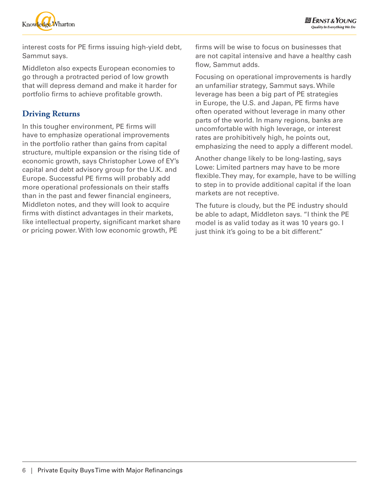



interest costs for PE firms issuing high-yield debt, Sammut says.

Middleton also expects European economies to go through a protracted period of low growth that will depress demand and make it harder for portfolio firms to achieve profitable growth.

# **Driving Returns**

In this tougher environment, PE firms will have to emphasize operational improvements in the portfolio rather than gains from capital structure, multiple expansion or the rising tide of economic growth, says Christopher Lowe of EY's capital and debt advisory group for the U.K. and Europe. Successful PE firms will probably add more operational professionals on their staffs than in the past and fewer financial engineers, Middleton notes, and they will look to acquire firms with distinct advantages in their markets, like intellectual property, significant market share or pricing power. With low economic growth, PE

firms will be wise to focus on businesses that are not capital intensive and have a healthy cash flow, Sammut adds.

Focusing on operational improvements is hardly an unfamiliar strategy, Sammut says. While leverage has been a big part of PE strategies in Europe, the U.S. and Japan, PE firms have often operated without leverage in many other parts of the world. In many regions, banks are uncomfortable with high leverage, or interest rates are prohibitively high, he points out, emphasizing the need to apply a different model.

Another change likely to be long-lasting, says Lowe: Limited partners may have to be more flexible. They may, for example, have to be willing to step in to provide additional capital if the loan markets are not receptive.

The future is cloudy, but the PE industry should be able to adapt, Middleton says. "I think the PE model is as valid today as it was 10 years go. I just think it's going to be a bit different."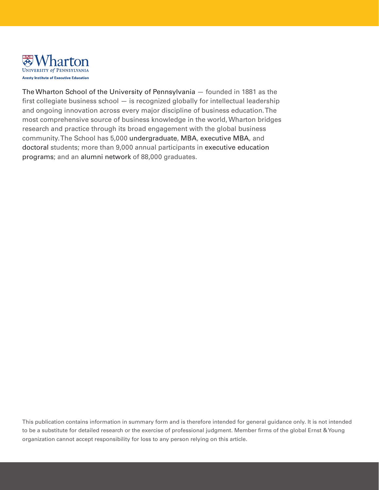

[The Wharton School of the University of Pennsylvania](http://www.wharton.upenn.edu/) — founded in 1881 as the first collegiate business school — is recognized globally for intellectual leadership and ongoing innovation across every major discipline of business education. The most comprehensive source of business knowledge in the world, Wharton bridges research and practice through its broad engagement with the global business community. The School has 5,000 [undergraduate](http://www.wharton.upenn.edu/undergrad/), [MBA,](http://www.wharton.upenn.edu/mba/) [executive MBA](http://www.wharton.upenn.edu/mbaexecutive/), and [doctoral](http://www.wharton.upenn.edu/doctoral/) students; more than 9,000 annual participants in [executive education](http://executiveeducation.wharton.upenn.edu/)  [programs;](http://executiveeducation.wharton.upenn.edu/) and an [alumni network](http://www.wharton.upenn.edu/alumni/) of 88,000 graduates.

This publication contains information in summary form and is therefore intended for general guidance only. It is not intended to be a substitute for detailed research or the exercise of professional judgment. Member firms of the global Ernst & Young organization cannot accept responsibility for loss to any person relying on this article.